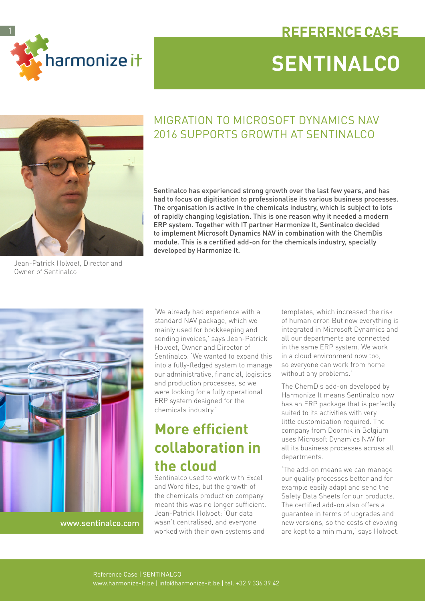

# **SENTINALCO REFERENCE CASE**



#### MIGRATION TO MICROSOFT DYNAMICS NAV 2016 SUPPORTS GROWTH AT SENTINALCO

Sentinalco has experienced strong growth over the last few years, and has had to focus on digitisation to professionalise its various business processes. The organisation is active in the chemicals industry, which is subject to lots of rapidly changing legislation. This is one reason why it needed a modern ERP system. Together with IT partner Harmonize It, Sentinalco decided to implement Microsoft Dynamics NAV in combination with the ChemDis module. This is a certified add-on for the chemicals industry, specially developed by Harmonize It.

Jean-Patrick Holvoet, Director and Owner of Sentinalco



[www.](www.uzleuven.be)sentinalco.com

'We already had experience with a standard NAV package, which we mainly used for bookkeeping and sending invoices,' says Jean-Patrick Holvoet, Owner and Director of Sentinalco. 'We wanted to expand this into a fully-fledged system to manage our administrative, financial, logistics and production processes, so we were looking for a fully operational ERP system designed for the chemicals industry.'

# **More efficient collaboration in the cloud**

Sentinalco used to work with Excel and Word files, but the growth of the chemicals production company meant this was no longer sufficient. Jean-Patrick Holvoet: 'Our data wasn't centralised, and everyone worked with their own systems and

templates, which increased the risk of human error. But now everything is integrated in Microsoft Dynamics and all our departments are connected in the same ERP system. We work in a cloud environment now too, so everyone can work from home without any problems.'

The ChemDis add-on developed by Harmonize It means Sentinalco now has an ERP package that is perfectly suited to its activities with very little customisation required. The company from Doornik in Belgium uses Microsoft Dynamics NAV for all its business processes across all departments.

'The add-on means we can manage our quality processes better and for example easily adapt and send the Safety Data Sheets for our products. The certified add-on also offers a guarantee in terms of upgrades and new versions, so the costs of evolving are kept to a minimum,' says Holvoet.